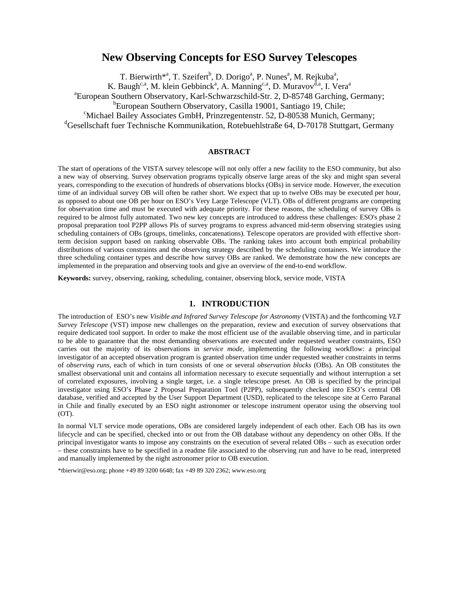# **New Observing Concepts for ESO Survey Telescopes**

T. Bierwirth\*<sup>a</sup>, T. Szeifert<sup>b</sup>, D. Dorigo<sup>a</sup>, P. Nunes<sup>a</sup>, M. Rejkuba<sup>a</sup>,

K. Baugh<sup>c,a</sup>, M. klein Gebbinck<sup>a</sup>, A. Manning<sup>c,a</sup>, D. Muravov<sup>d,a</sup>, I. Vera<sup>a</sup>

a European Southern Observatory, Karl-Schwarzschild-Str. 2, D-85748 Garching, Germany;

<sup>b</sup>European Southern Observatory, Casilla 19001, Santiago 19, Chile;<br><sup>c</sup>Michael Beiley, Associates CmbH, Bringreesptenstr, 52, D, 80538 Munich G

Michael Bailey Associates GmbH, Prinzregentenstr. 52, D-80538 Munich, Germany;

d Gesellschaft fuer Technische Kommunikation, Rotebuehlstraße 64, D-70178 Stuttgart, Germany

### **ABSTRACT**

The start of operations of the VISTA survey telescope will not only offer a new facility to the ESO community, but also a new way of observing. Survey observation programs typically observe large areas of the sky and might span several years, corresponding to the execution of hundreds of observations blocks (OBs) in service mode. However, the execution time of an individual survey OB will often be rather short. We expect that up to twelve OBs may be executed per hour, as opposed to about one OB per hour on ESO's Very Large Telescope (VLT). OBs of different programs are competing for observation time and must be executed with adequate priority. For these reasons, the scheduling of survey OBs is required to be almost fully automated. Two new key concepts are introduced to address these challenges: ESO's phase 2 proposal preparation tool P2PP allows PIs of survey programs to express advanced mid-term observing strategies using scheduling containers of OBs (groups, timelinks, concatenations). Telescope operators are provided with effective shortterm decision support based on ranking observable OBs. The ranking takes into account both empirical probability distributions of various constraints and the observing strategy described by the scheduling containers. We introduce the three scheduling container types and describe how survey OBs are ranked. We demonstrate how the new concepts are implemented in the preparation and observing tools and give an overview of the end-to-end workflow.

**Keywords:** survey, observing, ranking, scheduling, container, observing block, service mode, VISTA

#### **1. INTRODUCTION**

The introduction of ESO's new *Visible and Infrared Survey Telescope for Astronomy* (VISTA) and the forthcoming *VLT Survey Telescope* (VST) impose new challenges on the preparation, review and execution of survey observations that require dedicated tool support. In order to make the most efficient use of the available observing time, and in particular to be able to guarantee that the most demanding observations are executed under requested weather constraints, ESO carries out the majority of its observations in *service mode*, implementing the following workflow: a principal investigator of an accepted observation program is granted observation time under requested weather constraints in terms of *observing runs*, each of which in turn consists of one or several *observation blocks* (OBs). An OB constitutes the smallest observational unit and contains all information necessary to execute sequentially and without interruption a set of correlated exposures, involving a single target, i.e. a single telescope preset. An OB is specified by the principal investigator using ESO's Phase 2 Proposal Preparation Tool (P2PP), subsequently checked into ESO's central OB database, verified and accepted by the User Support Department (USD), replicated to the telescope site at Cerro Paranal in Chile and finally executed by an ESO night astronomer or telescope instrument operator using the observing tool (OT).

In normal VLT service mode operations, OBs are considered largely independent of each other. Each OB has its own lifecycle and can be specified, checked into or out from the OB database without any dependency on other OBs. If the principal investigator wants to impose any constraints on the execution of several related OBs – such as execution order – these constraints have to be specified in a readme file associated to the observing run and have to be read, interpreted and manually implemented by the night astronomer prior to OB execution.

\*tbierwir@eso.org; phone +49 89 3200 6648; fax +49 89 320 2362; www.eso.org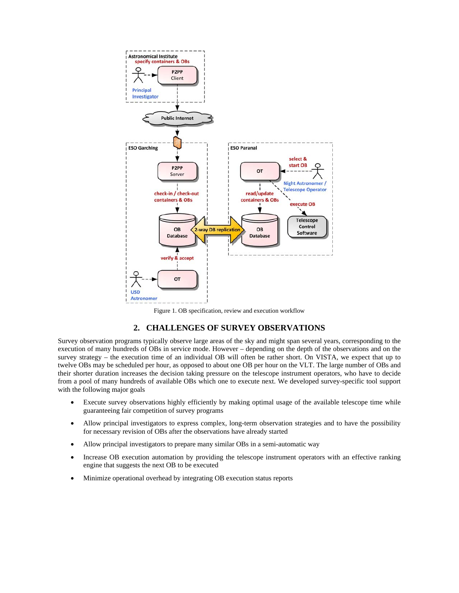

Figure 1. OB specification, review and execution workflow

### **2. CHALLENGES OF SURVEY OBSERVATIONS**

Survey observation programs typically observe large areas of the sky and might span several years, corresponding to the execution of many hundreds of OBs in service mode. However – depending on the depth of the observations and on the survey strategy – the execution time of an individual OB will often be rather short. On VISTA, we expect that up to twelve OBs may be scheduled per hour, as opposed to about one OB per hour on the VLT. The large number of OBs and their shorter duration increases the decision taking pressure on the telescope instrument operators, who have to decide from a pool of many hundreds of available OBs which one to execute next. We developed survey-specific tool support with the following major goals

- Execute survey observations highly efficiently by making optimal usage of the available telescope time while guaranteeing fair competition of survey programs
- Allow principal investigators to express complex, long-term observation strategies and to have the possibility for necessary revision of OBs after the observations have already started
- Allow principal investigators to prepare many similar OBs in a semi-automatic way
- Increase OB execution automation by providing the telescope instrument operators with an effective ranking engine that suggests the next OB to be executed
- Minimize operational overhead by integrating OB execution status reports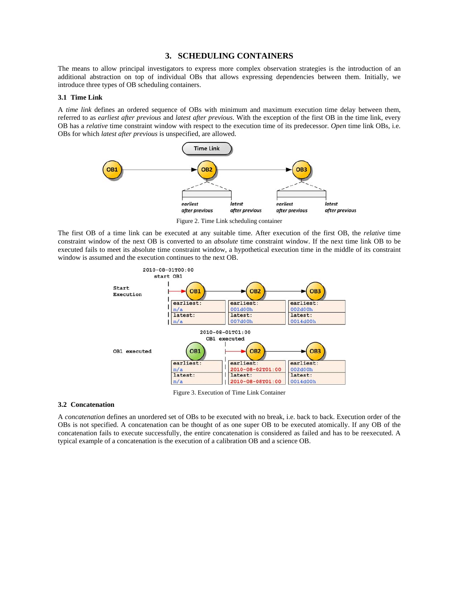### **3. SCHEDULING CONTAINERS**

The means to allow principal investigators to express more complex observation strategies is the introduction of an additional abstraction on top of individual OBs that allows expressing dependencies between them. Initially, we introduce three types of OB scheduling containers.

### **3.1 Time Link**

A *time link* defines an ordered sequence of OBs with minimum and maximum execution time delay between them, referred to as *earliest after previous* and *latest after previous*. With the exception of the first OB in the time link, every OB has a *relative* time constraint window with respect to the execution time of its predecessor. *Open* time link OBs, i.e. OBs for which *latest after previous* is unspecified, are allowed.



Figure 2. Time Link scheduling container

The first OB of a time link can be executed at any suitable time. After execution of the first OB, the *relative* time constraint window of the next OB is converted to an *absolute* time constraint window. If the next time link OB to be executed fails to meet its absolute time constraint window, a hypothetical execution time in the middle of its constraint window is assumed and the execution continues to the next OB.



Figure 3. Execution of Time Link Container

#### **3.2 Concatenation**

A *concatenation* defines an unordered set of OBs to be executed with no break, i.e. back to back. Execution order of the OBs is not specified. A concatenation can be thought of as one super OB to be executed atomically. If any OB of the concatenation fails to execute successfully, the entire concatenation is considered as failed and has to be reexecuted. A typical example of a concatenation is the execution of a calibration OB and a science OB.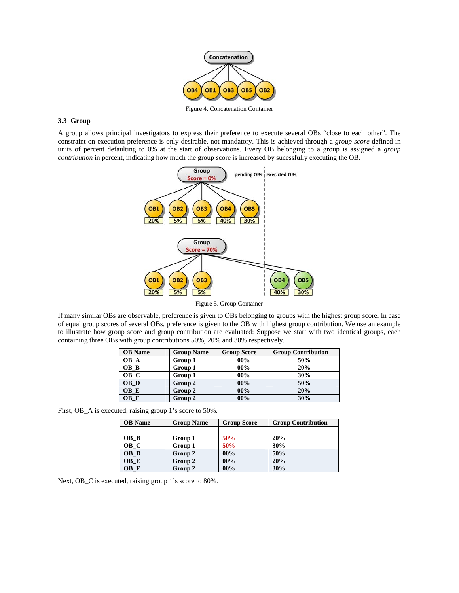

Figure 4. Concatenation Container

# **3.3 Group**

A group allows principal investigators to express their preference to execute several OBs "close to each other". The constraint on execution preference is only desirable, not mandatory. This is achieved through a *group score* defined in units of percent defaulting to 0% at the start of observations. Every OB belonging to a group is assigned a *group contribution* in percent, indicating how much the group score is increased by sucessfully executing the OB.



Figure 5. Group Container

If many similar OBs are observable, preference is given to OBs belonging to groups with the highest group score. In case of equal group scores of several OBs, preference is given to the OB with highest group contribution. We use an example to illustrate how group score and group contribution are evaluated: Suppose we start with two identical groups, each containing three OBs with group contributions 50%, 20% and 30% respectively.

| <b>OB</b> Name | <b>Group Name</b> | <b>Group Score</b> | <b>Group Contribution</b> |
|----------------|-------------------|--------------------|---------------------------|
| OB A           | Group 1           | $00\%$             | 50%                       |
| OB B           | Group 1           | 00%                | 20%                       |
| OB C           | Group 1           | 00%                | 30%                       |
| OB D           | Group 2           | 00%                | 50%                       |
| OB E           | Group 2           | 00%                | 20%                       |
| OB F           | Group 2           | 00%                | 30%                       |

First, OB\_A is executed, raising group 1's score to 50%.

| <b>OB</b> Name | <b>Group Name</b> | <b>Group Score</b> | <b>Group Contribution</b> |
|----------------|-------------------|--------------------|---------------------------|
|                |                   |                    |                           |
| OB B           | Group 1           | 50%                | 20%                       |
| OB C           | Group 1           | 50%                | 30%                       |
| OB D           | Group 2           | 00%                | 50%                       |
| OB E           | Group 2           | 00%                | 20%                       |
| OB F           | Group 2           | 00%                | 30%                       |

Next, OB\_C is executed, raising group 1's score to 80%.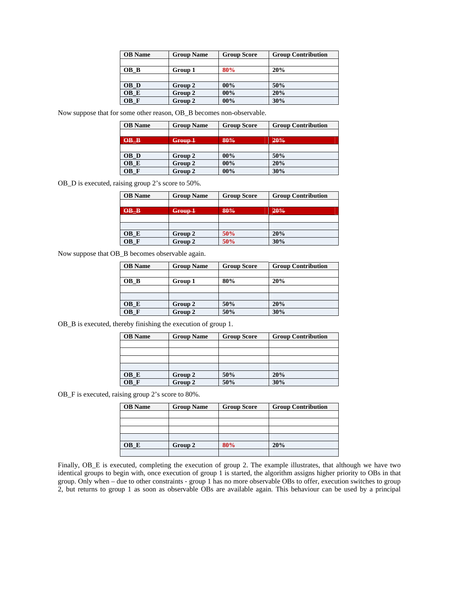| <b>OB</b> Name    | <b>Group Name</b> | <b>Group Score</b> | <b>Group Contribution</b> |
|-------------------|-------------------|--------------------|---------------------------|
|                   |                   |                    |                           |
| $OB$ <sub>B</sub> | Group 1           | 80%                | 20%                       |
|                   |                   |                    |                           |
| OB D              | Group 2           | 00%                | 50%                       |
| OB E              | Group 2           | 00%                | 20%                       |
| OB F              | Group 2           | 00%                | 30%                       |

Now suppose that for some other reason, OB\_B becomes non-observable.

| <b>OB</b> Name              | <b>Group Name</b> | <b>Group Score</b> | <b>Group Contribution</b> |
|-----------------------------|-------------------|--------------------|---------------------------|
|                             |                   |                    |                           |
| $\overline{\mathbf{OB}}$ -B | Group 1           | 80%                | 20%                       |
|                             |                   |                    |                           |
| OB D                        | Group 2           | 00%                | 50%                       |
| OB E                        | Group 2           | 00%                | 20%                       |
| OB F                        | Group 2           | 00%                | 30%                       |

OB\_D is executed, raising group 2's score to 50%.

| <b>OB</b> Name | <b>Group Name</b> | <b>Group Score</b> | <b>Group Contribution</b> |
|----------------|-------------------|--------------------|---------------------------|
|                |                   |                    |                           |
| $\Theta$ B B   | Group 1           | 80%                | 20%                       |
|                |                   |                    |                           |
|                |                   |                    |                           |
| OB E           | Group 2           | 50%                | 20%                       |
| OB F           | Group 2           | 50%                | 30%                       |

Now suppose that OB\_B becomes observable again.

| <b>OB</b> Name | <b>Group Name</b> | <b>Group Score</b> | <b>Group Contribution</b> |
|----------------|-------------------|--------------------|---------------------------|
|                |                   |                    |                           |
| OB B           | Group 1           | 80%                | 20%                       |
|                |                   |                    |                           |
|                |                   |                    |                           |
| OB_E           | Group 2           | 50%                | 20%                       |
| OB_F           | Group 2           | 50%                | 30%                       |

OB\_B is executed, thereby finishing the execution of group 1.

| <b>OB</b> Name | <b>Group Name</b> | <b>Group Score</b> | <b>Group Contribution</b> |
|----------------|-------------------|--------------------|---------------------------|
|                |                   |                    |                           |
|                |                   |                    |                           |
|                |                   |                    |                           |
|                |                   |                    |                           |
| OB E           | Group 2           | 50%                | 20%                       |
| OB F           | Group 2           | 50%                | 30%                       |

OB\_F is executed, raising group 2's score to 80%.

| <b>OB</b> Name | <b>Group Name</b> | <b>Group Score</b> | <b>Group Contribution</b> |
|----------------|-------------------|--------------------|---------------------------|
|                |                   |                    |                           |
|                |                   |                    |                           |
|                |                   |                    |                           |
|                |                   |                    |                           |
| OB E           | Group 2           | 80%                | 20%                       |
|                |                   |                    |                           |

Finally, OB\_E is executed, completing the execution of group 2. The example illustrates, that although we have two identical groups to begin with, once execution of group 1 is started, the algorithm assigns higher priority to OBs in that group. Only when – due to other constraints ‐ group 1 has no more observable OBs to offer, execution switches to group 2, but returns to group 1 as soon as observable OBs are available again. This behaviour can be used by a principal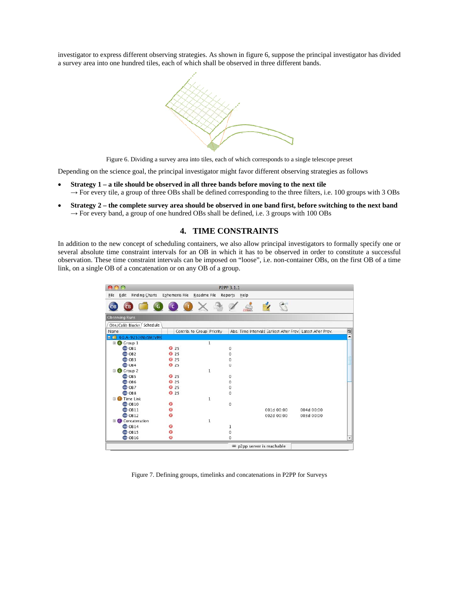investigator to express different observing strategies. As shown in figure 6, suppose the principal investigator has divided a survey area into one hundred tiles, each of which shall be observed in three different bands.



Figure 6. Dividing a survey area into tiles, each of which corresponds to a single telescope preset

Depending on the science goal, the principal investigator might favor different observing strategies as follows

- **Strategy 1 a tile should be observed in all three bands before moving to the next tile**   $\rightarrow$  For every tile, a group of three OBs shall be defined corresponding to the three filters, i.e. 100 groups with 3 OBs
- **Strategy 2 the complete survey area should be observed in one band first, before switching to the next band**   $\rightarrow$  For every band, a group of one hundred OBs shall be defined, i.e. 3 groups with 100 OBs

# **4. TIME CONSTRAINTS**

In addition to the new concept of scheduling containers, we also allow principal investigators to formally specify one or several absolute time constraint intervals for an OB in which it has to be observed in order to constitute a successful observation. These time constraint intervals can be imposed on "loose", i.e. non-container OBs, on the first OB of a time link, on a single OB of a concatenation or on any OB of a group.

|                       |                           |                                        |                            | P2PP 3.1.1      |                                                             |            |                  |
|-----------------------|---------------------------|----------------------------------------|----------------------------|-----------------|-------------------------------------------------------------|------------|------------------|
| Edit<br>File          | Finding Charts            |                                        | Enhemeris File Readme File | Reports<br>Help |                                                             |            |                  |
| OB                    | <b>CB</b>                 | $\bullet$ $\bullet$ $\bullet$ $\times$ |                            | S               |                                                             |            |                  |
| <b>Observing Runs</b> |                           |                                        |                            |                 |                                                             |            |                  |
|                       | Obs/Calib Blocks Schedule |                                        |                            |                 |                                                             |            |                  |
| Name                  |                           |                                        | Contrib. to Group Pricrity |                 | Abs. Time Intervals Earliest After Frey. Latest After Prey. |            | Ę                |
| $\blacksquare$        | 60.A-9253(N)/SM/VIRC      |                                        |                            |                 |                                                             |            | $\blacktriangle$ |
| G Group 1             |                           |                                        | 1                          |                 |                                                             |            |                  |
|                       | OB OB1                    | Q25                                    |                            | $^{\circ}$      |                                                             |            |                  |
|                       | <b>GB</b> OB <sub>2</sub> | Q25                                    |                            | $\Omega$        |                                                             |            |                  |
|                       | GB OB3                    | <b>8</b> 25                            |                            | $\Omega$        |                                                             |            |                  |
|                       | <b>GB UB4</b>             | O(25)                                  |                            | $\Omega$        |                                                             |            |                  |
| G Group 2             |                           |                                        | $\mathbf{1}$               |                 |                                                             |            |                  |
|                       | CB OB5                    | Q25                                    |                            | $\mathbf 0$     |                                                             |            |                  |
|                       | CD OB6                    | Q25                                    |                            | 0               |                                                             |            |                  |
|                       | CB OB7                    | Q25                                    |                            | $\Omega$        |                                                             |            |                  |
|                       | GB OB8                    | $Q$ 25                                 |                            | 0               |                                                             |            |                  |
|                       | $\Box$ Time Link          |                                        | 1                          |                 |                                                             |            |                  |
|                       | <b>CB</b> OB10            | ⊛                                      |                            | $\mathbf{0}$    |                                                             |            |                  |
|                       | <b>68 OB11</b>            | $\bullet$                              |                            |                 | 001d 00:00                                                  | 004d 00:00 |                  |
|                       | <b>60 OB12</b>            | $\odot$                                |                            |                 | 002d 00:00                                                  | 003d 00:00 |                  |
|                       | □ C Concateration         |                                        | $\mathbf{I}$               |                 |                                                             |            |                  |
|                       | <b>CD</b> OB14            | 0                                      |                            | 1               |                                                             |            |                  |
|                       | <b>GB OB15</b>            | Ø                                      |                            | $\overline{0}$  |                                                             |            |                  |
|                       | <b>CD</b> OB16            | ⊗                                      |                            | $\mathbf 0$     |                                                             |            |                  |
|                       |                           |                                        |                            |                 | 60 p2pp server is reachable                                 |            |                  |

Figure 7. Defining groups, timelinks and concatenations in P2PP for Surveys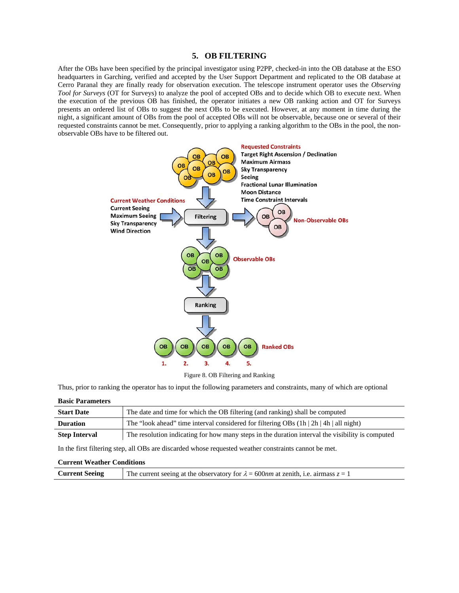## **5. OB FILTERING**

After the OBs have been specified by the principal investigator using P2PP, checked-in into the OB database at the ESO headquarters in Garching, verified and accepted by the User Support Department and replicated to the OB database at Cerro Paranal they are finally ready for observation execution. The telescope instrument operator uses the *Observing Tool for Surveys* (OT for Surveys) to analyze the pool of accepted OBs and to decide which OB to execute next. When the execution of the previous OB has finished, the operator initiates a new OB ranking action and OT for Surveys presents an ordered list of OBs to suggest the next OBs to be executed. However, at any moment in time during the night, a significant amount of OBs from the pool of accepted OBs will not be observable, because one or several of their requested constraints cannot be met. Consequently, prior to applying a ranking algorithm to the OBs in the pool, the nonobservable OBs have to be filtered out.



Figure 8. OB Filtering and Ranking

Thus, prior to ranking the operator has to input the following parameters and constraints, many of which are optional

| <b>Basic Parameters</b> |                                                                                                  |
|-------------------------|--------------------------------------------------------------------------------------------------|
| <b>Start Date</b>       | The date and time for which the OB filtering (and ranking) shall be computed                     |
| <b>Duration</b>         | The "look ahead" time interval considered for filtering OBs $(1h   2h   4h   all night)$         |
| <b>Step Interval</b>    | The resolution indicating for how many steps in the duration interval the visibility is computed |

In the first filtering step, all OBs are discarded whose requested weather constraints cannot be met.

#### **Current Weather Conditions**

| <b>Current Seeing</b> | The current seeing at the observatory for $\lambda = 600$ nm at zenith, i.e. airmass $z = 1$ |
|-----------------------|----------------------------------------------------------------------------------------------|
|-----------------------|----------------------------------------------------------------------------------------------|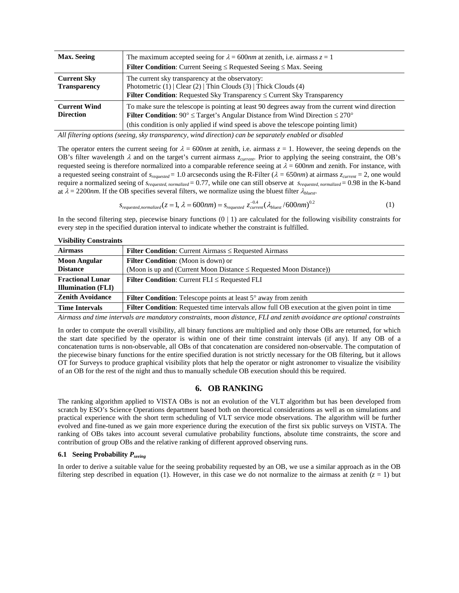| <b>Max.</b> Seeing                        | The maximum accepted seeing for $\lambda = 600$ nm at zenith, i.e. airmass $z = 1$                                                                                                                                                                                                       |
|-------------------------------------------|------------------------------------------------------------------------------------------------------------------------------------------------------------------------------------------------------------------------------------------------------------------------------------------|
|                                           | <b>Filter Condition:</b> Current Seeing $\leq$ Requested Seeing $\leq$ Max. Seeing                                                                                                                                                                                                       |
| <b>Current Sky</b><br><b>Transparency</b> | The current sky transparency at the observatory:<br>Photometric $(1)$   Clear $(2)$   Thin Clouds $(3)$   Thick Clouds $(4)$<br><b>Filter Condition:</b> Requested Sky Transparency $\leq$ Current Sky Transparency                                                                      |
| <b>Current Wind</b><br><b>Direction</b>   | To make sure the telescope is pointing at least 90 degrees away from the current wind direction<br><b>Filter Condition:</b> 90° $\leq$ Target's Angular Distance from Wind Direction $\leq$ 270°<br>(this condition is only applied if wind speed is above the telescope pointing limit) |

*All filtering options (seeing, sky transparency, wind direction) can be separately enabled or disabled* 

The operator enters the current seeing for  $\lambda = 600nm$  at zenith, i.e. airmass  $z = 1$ . However, the seeing depends on the OB's filter wavelength  $\lambda$  and on the target's current airmass  $z_{current}$ . Prior to applying the seeing constraint, the OB's requested seeing is therefore normalized into a comparable reference seeing at  $\lambda = 600$ *nm* and zenith. For instance, with a requested seeing constraint of  $s_{requested} = 1.0$  arcseconds using the R-Filter ( $\lambda = 650nm$ ) at airmass  $z_{current} = 2$ , one would require a normalized seeing of *srequested, normalized* = 0.77, while one can still observe at *srequested, normalized* = 0.98 in the K-band at  $\lambda = 2200$ *nm*. If the OB specifies several filters, we normalize using the bluest filter  $\lambda_{black}$ .

$$
s_{requested, normalized}(z=1, \lambda=600nm) = s_{requested} z_{current}^{-0.4} (\lambda_{blues}/600nm)^{0.2}
$$
 (1)

In the second filtering step, piecewise binary functions  $(0 \mid 1)$  are calculated for the following visibility constraints for every step in the specified duration interval to indicate whether the constraint is fulfilled.

| <b>Visibility Constraints</b> |                                                                                                      |  |  |  |  |  |
|-------------------------------|------------------------------------------------------------------------------------------------------|--|--|--|--|--|
| <b>Airmass</b>                | <b>Filter Condition:</b> Current Airmass $\leq$ Requested Airmass                                    |  |  |  |  |  |
| <b>Moon Angular</b>           | <b>Filter Condition:</b> (Moon is down) or                                                           |  |  |  |  |  |
| <b>Distance</b>               | (Moon is up and (Current Moon Distance $\leq$ Requested Moon Distance))                              |  |  |  |  |  |
| <b>Fractional Lunar</b>       | <b>Filter Condition:</b> Current $FLI \leq$ Requested $FLI$                                          |  |  |  |  |  |
| <b>Illumination</b> (FLI)     |                                                                                                      |  |  |  |  |  |
| <b>Zenith Avoidance</b>       | <b>Filter Condition:</b> Telescope points at least $5^\circ$ away from zenith                        |  |  |  |  |  |
| <b>Time Intervals</b>         | <b>Filter Condition:</b> Requested time intervals allow full OB execution at the given point in time |  |  |  |  |  |

*Airmass and time intervals are mandatory constraints, moon distance, FLI and zenith avoidance are optional constraints* 

In order to compute the overall visibility, all binary functions are multiplied and only those OBs are returned, for which the start date specified by the operator is within one of their time constraint intervals (if any). If any OB of a concatenation turns is non-observable, all OBs of that concatenation are considered non-observable. The computation of the piecewise binary functions for the entire specified duration is not strictly necessary for the OB filtering, but it allows OT for Surveys to produce graphical visibility plots that help the operator or night astronomer to visualize the visibility of an OB for the rest of the night and thus to manually schedule OB execution should this be required.

### **6. OB RANKING**

The ranking algorithm applied to VISTA OBs is not an evolution of the VLT algorithm but has been developed from scratch by ESO's Science Operations department based both on theoretical considerations as well as on simulations and practical experience with the short term scheduling of VLT service mode observations. The algorithm will be further evolved and fine-tuned as we gain more experience during the execution of the first six public surveys on VISTA. The ranking of OBs takes into account several cumulative probability functions, absolute time constraints, the score and contribution of group OBs and the relative ranking of different approved observing runs.

#### **6.1 Seeing Probability** *Pseeing*

In order to derive a suitable value for the seeing probability requested by an OB, we use a similar approach as in the OB filtering step described in equation (1). However, in this case we do not normalize to the airmass at zenith  $(z = 1)$  but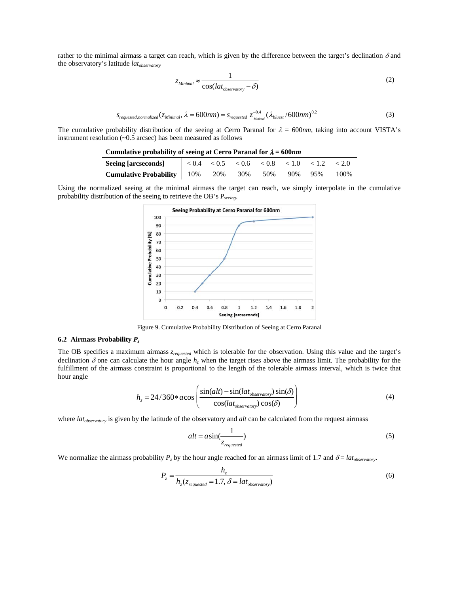rather to the minimal airmass a target can reach, which is given by the difference between the target's declination  $\delta$  and the observatory's latitude *lat<sub>observatory*</sub>

$$
z_{Minimal} \approx \frac{1}{\cos(lat_{observatory} - \delta)}
$$
\n(2)

$$
S_{requested, normalized}(z_{Minimal}, \lambda = 600nm) = S_{requested} z_{Minimal}^{-0.4} (\lambda_{bluest} / 600nm)^{0.2}
$$
\n(3)

The cumulative probability distribution of the seeing at Cerro Paranal for  $\lambda = 600$ *nm*, taking into account VISTA's instrument resolution (~0.5 arcsec) has been measured as follows

**Cumulative probability of seeing at Cerro Paranal for** λ **= 600***nm*

| Seeing [arcseconds]                 |     | $1 < 0.4$ $< 0.5$ $< 0.6$ $< 0.8$ $< 1.0$ $< 1.2$ $< 2.0$ |     |         |      |
|-------------------------------------|-----|-----------------------------------------------------------|-----|---------|------|
| <b>Cumulative Probability</b>   10% | 20% | 30%                                                       | 50% | 90% 95% | 100% |

Using the normalized seeing at the minimal airmass the target can reach, we simply interpolate in the cumulative probability distribution of the seeing to retrieve the OB's P*seeing*.



Figure 9. Cumulative Probability Distribution of Seeing at Cerro Paranal

#### **6.2 Airmass Probability** *Pz*

The OB specifies a maximum airmass *zrequested* which is tolerable for the observation. Using this value and the target's declination  $\delta$  one can calculate the hour angle  $h_z$  when the target rises above the airmass limit. The probability for the fulfillment of the airmass constraint is proportional to the length of the tolerable airmass interval, which is twice that hour angle

$$
h_z = 24/360 * a \cos\left(\frac{\sin(alt) - \sin(lat_{\text{observation}}) \sin(\delta)}{\cos(lat_{\text{observation}}) \cos(\delta)}\right)
$$
(4)

where *lat<sub>observatory*</sub> is given by the latitude of the observatory and *alt* can be calculated from the request airmass

$$
alt = a \sin(\frac{1}{z_{requested}})
$$
 (5)

We normalize the airmass probability  $P_z$  by the hour angle reached for an airmass limit of 1.7 and  $\delta = lat_{observation}$ .

$$
P_z = \frac{h_z}{h_z(z_{requested} = 1.7, \delta = lat_{observations})}
$$
(6)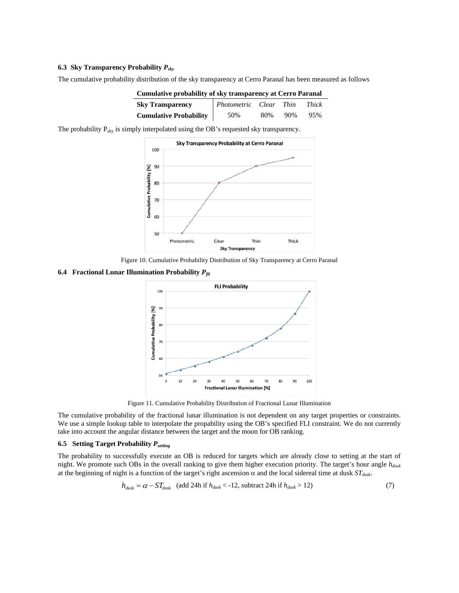### **6.3 Sky Transparency Probability** *Psky*

The cumulative probability distribution of the sky transparency at Cerro Paranal has been measured as follows

| Cumulative probability of sky transparency at Cerro Paranal |                   |     |      |       |  |  |  |  |  |
|-------------------------------------------------------------|-------------------|-----|------|-------|--|--|--|--|--|
| <b>Sky Transparency</b>                                     | Photometric Clear |     | Thin | Thick |  |  |  |  |  |
| <b>Cumulative Probability</b>                               | 50%               | 80% | 90%  | 95%   |  |  |  |  |  |

The probability  $P_{sky}$  is simply interpolated using the OB's requested sky transparency.



Figure 10. Cumulative Probability Distribution of Sky Transparency at Cerro Paranal

**6.4 Fractional Lunar Illumination Probability** *Pfli*



Figure 11. Cumulative Probability Distribution of Fractional Lunar Illumination

The cumulative probability of the fractional lunar illumination is not dependent on any target properties or constraints. We use a simple lookup table to interpolate the propability using the OB's specified FLI constraint. We do not currently take into account the angular distance between the target and the moon for OB ranking.

### **6.5 Setting Target Probability** *Psetting*

The probability to successfully execute an OB is reduced for targets which are already close to setting at the start of night. We promote such OBs in the overall ranking to give them higher execution priority. The target's hour angle *hdusk* at the beginning of night is a function of the target's right ascension  $\alpha$  and the local sidereal time at dusk  $ST_{dusk}$ .

$$
h_{dusk} = \alpha - ST_{dusk} \quad \text{(add 24h if } h_{dusk} < -12 \text{, subtract 24h if } h_{dusk} > 12) \tag{7}
$$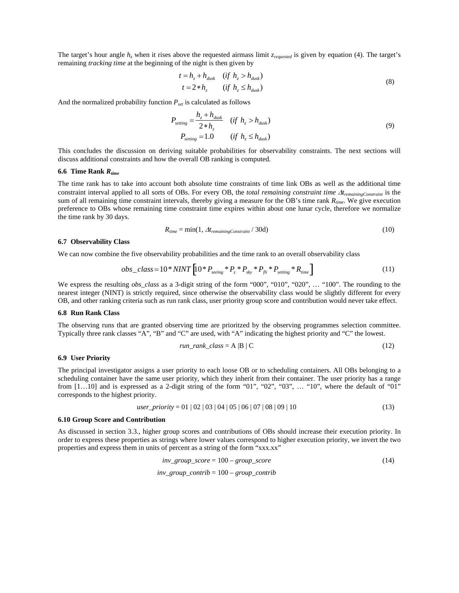The target's hour angle  $h<sub>z</sub>$  when it rises above the requested airmass limit  $z_{reduced}$  is given by equation (4). The target's remaining *tracking time* at the beginning of the night is then given by

$$
t = h_z + h_{dusk} \quad (if \quad h_z > h_{dusk})
$$
  

$$
t = 2 * h_z \quad (if \quad h_z \le h_{dusk})
$$
 (8)

And the normalized probability function  $P_{set}$  is calculated as follows

$$
P_{\text{setting}} = \frac{h_z + h_{\text{dust}}}{2 * h_z} \quad (if \ h_z > h_{\text{dust}})
$$
  

$$
P_{\text{setting}} = 1.0 \quad (if \ h_z \le h_{\text{dust}})
$$
 (9)

This concludes the discussion on deriving suitable probabilities for observability constraints. The next sections will discuss additional constraints and how the overall OB ranking is computed.

### **6.6 Time Rank** *Rtime*

The time rank has to take into account both absolute time constraints of time link OBs as well as the additional time constraint interval applied to all sorts of OBs. For every OB, the *total remaining constraint time* <sup>Δ</sup>*tremainingConstraint* is the sum of all remaining time constraint intervals, thereby giving a measure for the OB's time rank *Rtime*. We give execution preference to OBs whose remaining time constraint time expires within about one lunar cycle, therefore we normalize the time rank by 30 days.

$$
R_{time} = \min(1, \Delta t_{remaining Constant} / 30d) \tag{10}
$$

#### **6.7 Observability Class**

We can now combine the five observability probabilities and the time rank to an overall observability class

$$
obs\_class = 10*NINT \left[10*P_{\text{seing}} * P_z * P_{\text{sky}} * P_{\text{fit}} * P_{\text{setting}} * R_{\text{time}}\right]
$$
\n
$$
(11)
$$

We express the resulting *obs\_class* as a 3-digit string of the form "000", "010", "020", ... "100". The rounding to the nearest integer (NINT) is strictly required, since otherwise the observability class would be slightly different for every OB, and other ranking criteria such as run rank class, user priority group score and contribution would never take effect.

#### **6.8 Run Rank Class**

The observing runs that are granted observing time are prioritzed by the observing programmes selection committee. Typically three rank classes "A", "B" and "C" are used, with "A" indicating the highest priority and "C" the lowest.

$$
run\_rank\_class = A \mid B \mid C \tag{12}
$$

### **6.9 User Priority**

The principal investigator assigns a user priority to each loose OB or to scheduling containers. All OBs belonging to a scheduling container have the same user priority, which they inherit from their container. The user priority has a range from [1…10] and is expressed as a 2-digit string of the form "01", "02", "03", … "10", where the default of "01" corresponds to the highest priority.

*user\\_priority* = 01 | 02 | 03 | 04 | 05 | 06 | 07 | 08 | 09 | 10 
$$
(13)
$$

### **6.10 Group Score and Contribution**

As discussed in section 3.3., higher group scores and contributions of OBs should increase their execution priority. In order to express these properties as strings where lower values correspond to higher execution priority, we invert the two properties and express them in units of percent as a string of the form "xxx.xx"

$$
inv\_group\_score = 100 - group\_score
$$
\n
$$
(14)
$$

*inv\_group\_contrib* = 100 – *group\_contrib*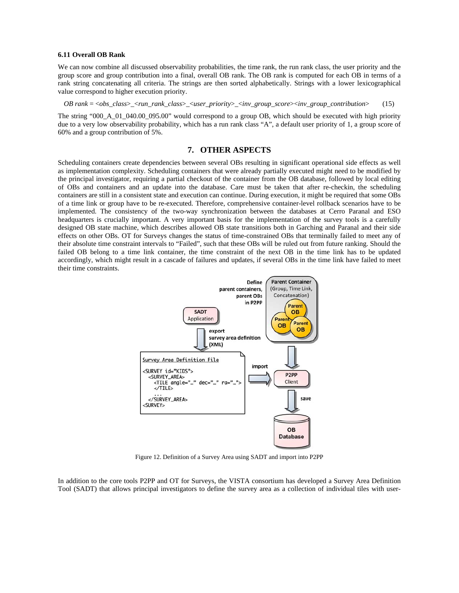#### **6.11 Overall OB Rank**

We can now combine all discussed observability probabilities, the time rank, the run rank class, the user priority and the group score and group contribution into a final, overall OB rank. The OB rank is computed for each OB in terms of a rank string concatenating all criteria. The strings are then sorted alphabetically. Strings with a lower lexicographical value correspond to higher execution priority.

*OB rank* = <*obs\_class*>\_<*run\_rank\_class*>\_<*user\_priority*>\_<*inv\_group\_score*><*inv\_group\_contribution*> (15)

The string "000\_A\_01\_040.00\_095.00" would correspond to a group OB, which should be executed with high priority due to a very low observability probability, which has a run rank class "A", a default user priority of 1, a group score of 60% and a group contribution of 5%.

# **7. OTHER ASPECTS**

Scheduling containers create dependencies between several OBs resulting in significant operational side effects as well as implementation complexity. Scheduling containers that were already partially executed might need to be modified by the principal investigator, requiring a partial checkout of the container from the OB database, followed by local editing of OBs and containers and an update into the database. Care must be taken that after re-checkin, the scheduling containers are still in a consistent state and execution can continue. During execution, it might be required that some OBs of a time link or group have to be re-executed. Therefore, comprehensive container-level rollback scenarios have to be implemented. The consistency of the two-way synchronization between the databases at Cerro Paranal and ESO headquarters is crucially important. A very important basis for the implementation of the survey tools is a carefully designed OB state machine, which describes allowed OB state transitions both in Garching and Paranal and their side effects on other OBs. OT for Surveys changes the status of time-constrained OBs that terminally failed to meet any of their absolute time constraint intervals to "Failed", such that these OBs will be ruled out from future ranking. Should the failed OB belong to a time link container, the time constraint of the next OB in the time link has to be updated accordingly, which might result in a cascade of failures and updates, if several OBs in the time link have failed to meet their time constraints.



Figure 12. Definition of a Survey Area using SADT and import into P2PP

In addition to the core tools P2PP and OT for Surveys, the VISTA consortium has developed a Survey Area Definition Tool (SADT) that allows principal investigators to define the survey area as a collection of individual tiles with user